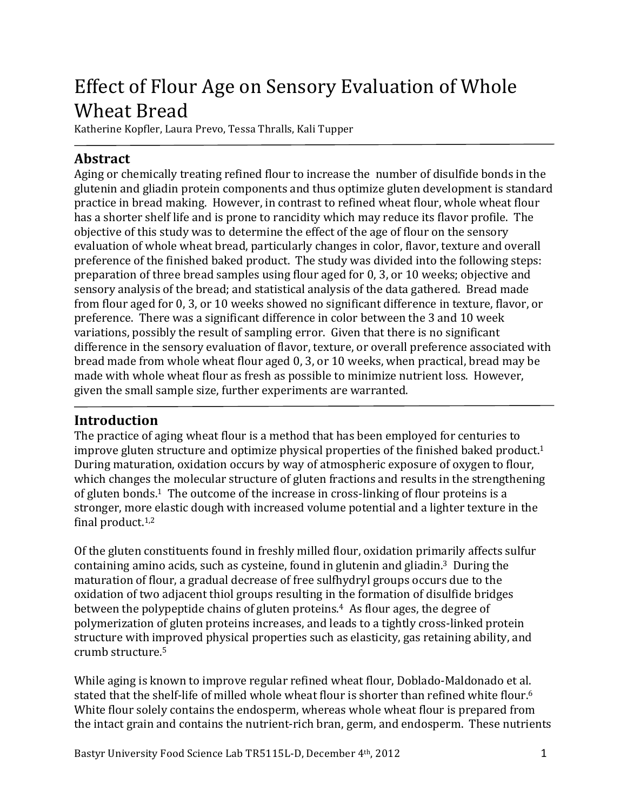# Effect of Flour Age on Sensory Evaluation of Whole Wheat Bread

Katherine Kopfler, Laura Prevo, Tessa Thralls, Kali Tupper

# **Abstract**

Aging or chemically treating refined flour to increase the number of disulfide bonds in the glutenin'and'gliadin'protein'components'and'thus'optimize'gluten'development'is'standard' practice in bread making. However, in contrast to refined wheat flour, whole wheat flour has a shorter shelf life and is prone to rancidity which may reduce its flavor profile. The objective of this study was to determine the effect of the age of flour on the sensory evaluation of whole wheat bread, particularly changes in color, flavor, texture and overall preference of the finished baked product. The study was divided into the following steps: preparation of three bread samples using flour aged for 0, 3, or 10 weeks; objective and sensory analysis of the bread; and statistical analysis of the data gathered. Bread made from flour aged for 0, 3, or 10 weeks showed no significant difference in texture, flavor, or preference. There was a significant difference in color between the 3 and 10 week variations, possibly the result of sampling error. Given that there is no significant difference in the sensory evaluation of flavor, texture, or overall preference associated with bread made from whole wheat flour aged 0, 3, or 10 weeks, when practical, bread may be made with whole wheat flour as fresh as possible to minimize nutrient loss. However, given the small sample size, further experiments are warranted.

## **Introduction(**

The practice of aging wheat flour is a method that has been employed for centuries to improve gluten structure and optimize physical properties of the finished baked product.<sup>1</sup> During maturation, oxidation occurs by way of atmospheric exposure of oxygen to flour, which changes the molecular structure of gluten fractions and results in the strengthening of gluten bonds.<sup>1</sup> The outcome of the increase in cross-linking of flour proteins is a stronger, more elastic dough with increased volume potential and a lighter texture in the final product. $1,2$ 

Of the gluten constituents found in freshly milled flour, oxidation primarily affects sulfur containing amino acids, such as cysteine, found in glutenin and gliadin.<sup>3</sup> During the maturation of flour, a gradual decrease of free sulfhydryl groups occurs due to the oxidation of two adjacent thiol groups resulting in the formation of disulfide bridges between the polypeptide chains of gluten proteins.<sup>4</sup> As flour ages, the degree of polymerization of gluten proteins increases, and leads to a tightly cross-linked protein structure with improved physical properties such as elasticity, gas retaining ability, and crumb structure.<sup>5</sup>

While aging is known to improve regular refined wheat flour, Doblado-Maldonado et al. stated that the shelf-life of milled whole wheat flour is shorter than refined white flour.<sup>6</sup> White flour solely contains the endosperm, whereas whole wheat flour is prepared from the intact grain and contains the nutrient-rich bran, germ, and endosperm. These nutrients

Bastyr' University Food Science Lab TR5115L-D, December 4<sup>th</sup>, 2012 '''''''''''''''''''''''''''''''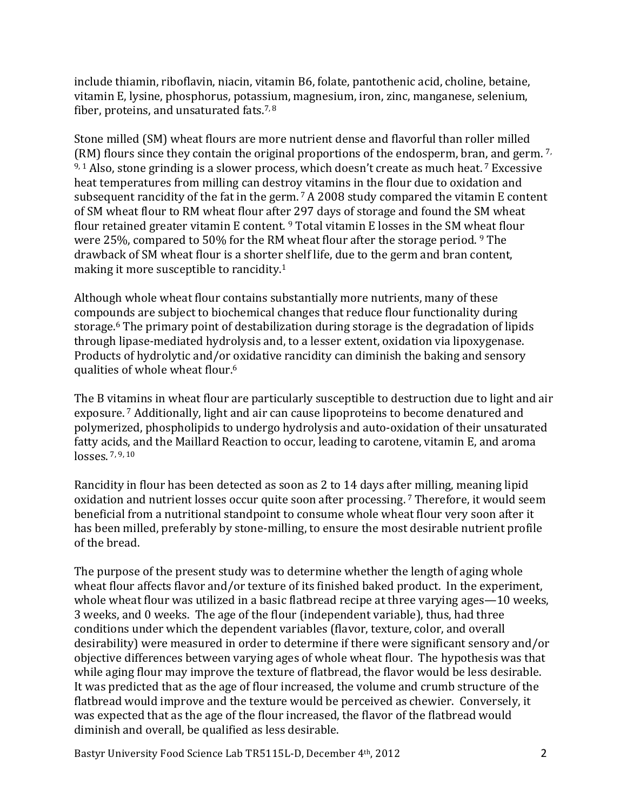include thiamin, riboflavin, niacin, vitamin B6, folate, pantothenic acid, choline, betaine, vitamin'E, lysine, phosphorus, potassium, magnesium, iron, zinc, manganese, selenium, fiber, proteins, and unsaturated fats. $7,8$ 

Stone milled (SM) wheat flours are more nutrient dense and flavorful than roller milled  $(KM)$  flours since they contain the original proportions of the endosperm, bran, and germ.<sup>7,</sup>  $9,1$  Also, stone grinding is a slower process, which doesn't create as much heat. 7 Excessive heat temperatures from milling can destroy vitamins in the flour due to oxidation and subsequent rancidity of the fat in the germ.  $7'$  A 2008 study compared the vitamin E content of SM wheat flour to RM wheat flour after 297 days of storage and found the SM wheat flour retained greater vitamin E content.<sup>9</sup> Total vitamin E losses in the SM wheat flour were 25%, compared to 50% for the RM wheat flour after the storage period. <sup>9</sup> The drawback of SM wheat flour is a shorter shelf life, due to the germ and bran content, making it more susceptible to rancidity.<sup>1</sup>

Although whole wheat flour contains substantially more nutrients, many of these compounds are subject to biochemical changes that reduce flour functionality during storage.<sup>6</sup> The primary point of destabilization during storage is the degradation of lipids through lipase-mediated hydrolysis and, to a lesser extent, oxidation via lipoxygenase. Products of hydrolytic and/or oxidative rancidity can diminish the baking and sensory qualities of whole wheat flour.<sup>6</sup>

The B vitamins in wheat flour are particularly susceptible to destruction due to light and air exposure.<sup>7</sup> Additionally, light and air can cause lipoproteins to become denatured and polymerized, phospholipids to undergo hydrolysis and auto-oxidation of their unsaturated fatty acids, and the Maillard Reaction to occur, leading to carotene, vitamin E, and aroma  $losses.$ <sup>7, 9, 10</sup>

Rancidity in flour has been detected as soon as 2 to 14 days after milling, meaning lipid oxidation and nutrient losses occur quite soon after processing. 7 Therefore, it would seem beneficial from a nutritional standpoint to consume whole wheat flour very soon after it has been milled, preferably by stone-milling, to ensure the most desirable nutrient profile of the bread.

The purpose of the present study was to determine whether the length of aging whole. wheat flour affects flavor and/or texture of its finished baked product. In the experiment, whole wheat flour was utilized in a basic flatbread recipe at three varying ages—10 weeks, 3'weeks,'and'0'weeks.''The'age'of'the'flour'(independent'variable),'thus,'had'three' conditions under which the dependent variables (flavor, texture, color, and overall desirability) were measured in order to determine if there were significant sensory and/or objective differences between varying ages of whole wheat flour. The hypothesis was that while aging flour may improve the texture of flatbread, the flavor would be less desirable. It was predicted that as the age of flour increased, the volume and crumb structure of the flatbread would improve and the texture would be perceived as chewier. Conversely, it was expected that as the age of the flour increased, the flavor of the flatbread would diminish and overall, be qualified as less desirable.

Bastyr' University Food Science Lab TR5115L-D, December 4<sup>th</sup>, 2012 ''''''''''' 2012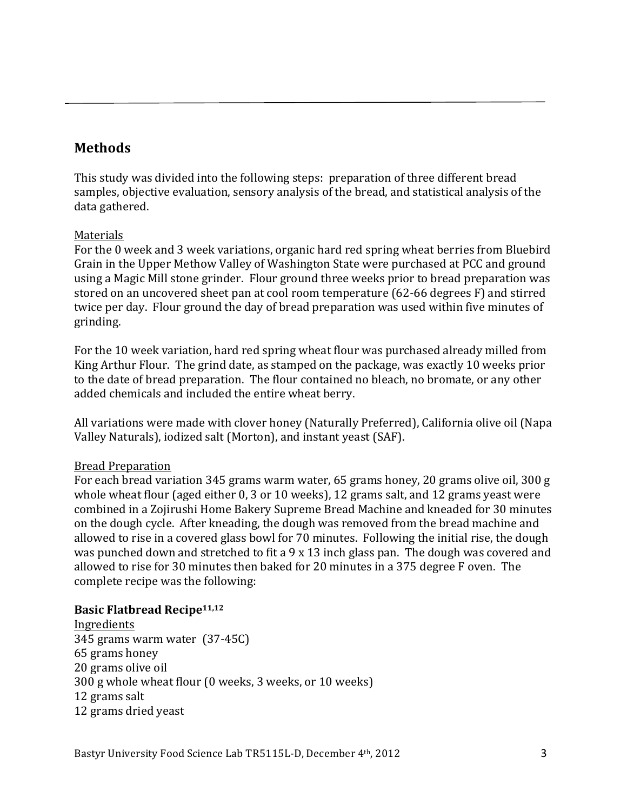## **Methods**

This study was divided into the following steps: preparation of three different bread samples, objective evaluation, sensory analysis of the bread, and statistical analysis of the data gathered.

#### Materials

For the 0 week and 3 week variations, organic hard red spring wheat berries from Bluebird Grain in the Upper Methow Valley of Washington State were purchased at PCC and ground using a Magic Mill stone grinder. Flour ground three weeks prior to bread preparation was stored on an uncovered sheet pan at cool room temperature (62-66 degrees F) and stirred twice per day. Flour ground the day of bread preparation was used within five minutes of grinding.

For the 10 week variation, hard red spring wheat flour was purchased already milled from King Arthur Flour. The grind date, as stamped on the package, was exactly 10 weeks prior to the date of bread preparation. The flour contained no bleach, no bromate, or any other added chemicals and included the entire wheat berry.

All variations were made with clover honey (Naturally Preferred), California olive oil (Napa Valley Naturals), iodized salt (Morton), and instant yeast (SAF).

#### Bread Preparation

For each bread variation 345 grams warm water, 65 grams honey, 20 grams olive oil, 300 g whole wheat flour (aged either 0, 3 or 10 weeks), 12 grams salt, and 12 grams yeast were combined in a Zojirushi Home Bakery Supreme Bread Machine and kneaded for 30 minutes on the dough cycle. After kneading, the dough was removed from the bread machine and allowed to rise in a covered glass bowl for 70 minutes. Following the initial rise, the dough was punched down and stretched to fit a 9 x 13 inch glass pan. The dough was covered and allowed to rise for 30 minutes then baked for 20 minutes in a 375 degree F oven. The complete recipe was the following:

#### **Basic Flatbread Recipe<sup>11,12</sup>**

**Ingredients** 345 grams warm water (37-45C) 65 grams honey 20 grams olive oil 300 g whole wheat flour (0 weeks, 3 weeks, or 10 weeks) 12 grams salt 12 grams dried yeast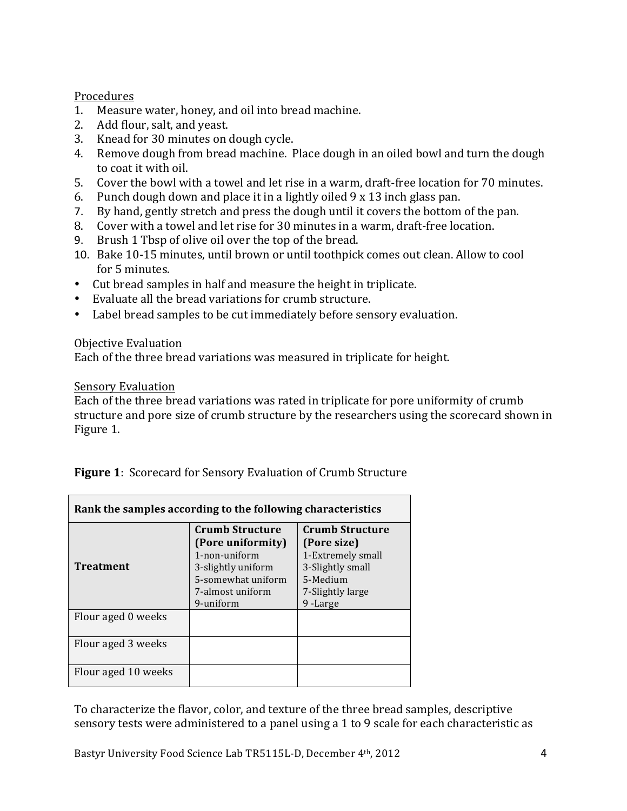#### Procedures

- 1. Measure water, honey, and oil into bread machine.
- 2. Add flour, salt, and yeast.
- 3. Knead for 30 minutes on dough cycle.
- 4. Remove dough from bread machine. Place dough in an oiled bowl and turn the dough to coat it with oil.
- 5. Cover the bowl with a towel and let rise in a warm, draft-free location for 70 minutes.
- 6. Punch dough down and place it in a lightly oiled  $9 \times 13$  inch glass pan.
- 7. By hand, gently stretch and press the dough until it covers the bottom of the pan.
- 8. Cover with a towel and let rise for 30 minutes in a warm, draft-free location.
- 9. Brush 1 Tbsp of olive oil over the top of the bread.
- 10. Bake 10-15 minutes, until brown or until toothpick comes out clean. Allow to cool for 5 minutes.
- Cut bread samples in half and measure the height in triplicate.
- Evaluate all the bread variations for crumb structure.
- Label bread samples to be cut immediately before sensory evaluation.

## Objective Evaluation

Each of the three bread variations was measured in triplicate for height.

## Sensory Evaluation

Each of the three bread variations was rated in triplicate for pore uniformity of crumb structure and pore size of crumb structure by the researchers using the scorecard shown in Figure 1.

| <b>Figure 1:</b> Scorecard for Sensory Evaluation of Crumb Structure |  |
|----------------------------------------------------------------------|--|
|----------------------------------------------------------------------|--|

| Rank the samples according to the following characteristics |                                                                                                                                           |                                                                                                                           |  |
|-------------------------------------------------------------|-------------------------------------------------------------------------------------------------------------------------------------------|---------------------------------------------------------------------------------------------------------------------------|--|
| <b>Treatment</b>                                            | <b>Crumb Structure</b><br>(Pore uniformity)<br>1-non-uniform<br>3-slightly uniform<br>5-somewhat uniform<br>7-almost uniform<br>9-uniform | <b>Crumb Structure</b><br>(Pore size)<br>1-Extremely small<br>3-Slightly small<br>5-Medium<br>7-Slightly large<br>9-Large |  |
| Flour aged 0 weeks                                          |                                                                                                                                           |                                                                                                                           |  |
| Flour aged 3 weeks                                          |                                                                                                                                           |                                                                                                                           |  |
| Flour aged 10 weeks                                         |                                                                                                                                           |                                                                                                                           |  |

To characterize the flavor, color, and texture of the three bread samples, descriptive sensory tests were administered to a panel using a 1 to 9 scale for each characteristic as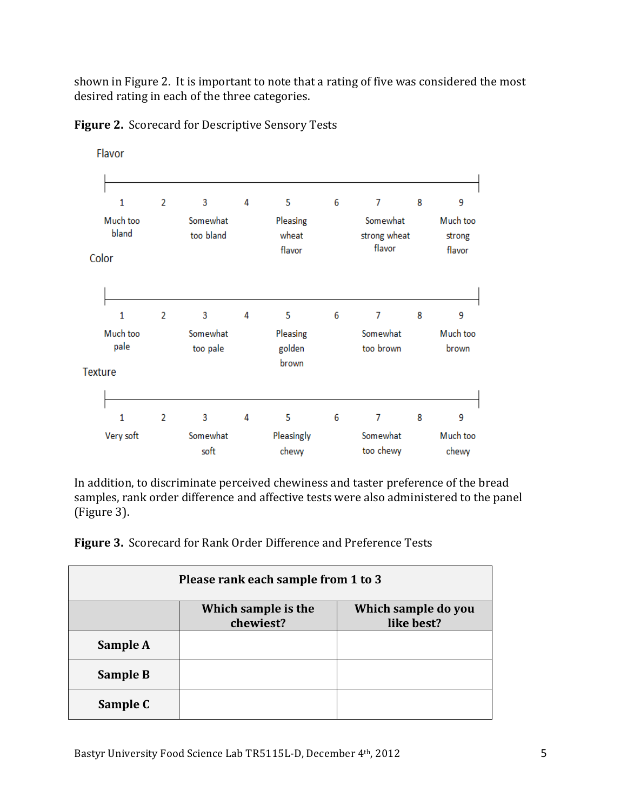shown in Figure 2. It is important to note that a rating of five was considered the most desired rating in each of the three categories.



Figure 2. Scorecard for Descriptive Sensory Tests

In addition, to discriminate perceived chewiness and taster preference of the bread samples, rank order difference and affective tests were also administered to the panel (Figure 3).

Figure 3. Scorecard for Rank Order Difference and Preference Tests

| Please rank each sample from 1 to 3 |                                  |                                   |
|-------------------------------------|----------------------------------|-----------------------------------|
|                                     | Which sample is the<br>chewiest? | Which sample do you<br>like best? |
| Sample A                            |                                  |                                   |
| <b>Sample B</b>                     |                                  |                                   |
| Sample C                            |                                  |                                   |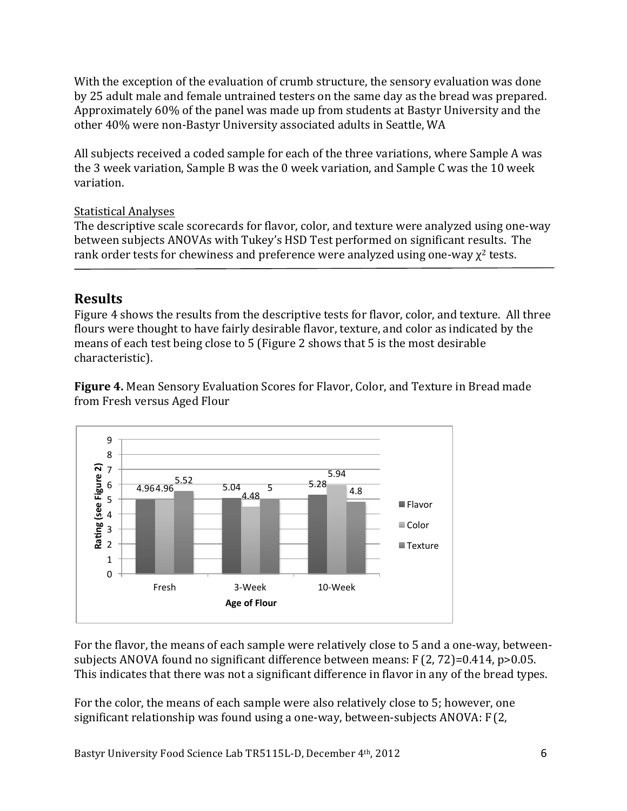With the exception of the evaluation of crumb structure, the sensory evaluation was done by'25'adult'male'and'female'untrained'testers on'the'same'day'as'the'bread'was'prepared.' Approximately 60% of the panel was made up from students at Bastyr University and the other 40% were non-Bastyr University associated adults in Seattle, WA

All subjects received a coded sample for each of the three variations, where Sample A was the 3 week variation, Sample B was the 0 week variation, and Sample C was the 10 week variation.

#### Statistical Analyses

The descriptive scale scorecards for flavor, color, and texture were analyzed using one-way between subjects ANOVAs with Tukey's HSD Test performed on significant results. The rank order tests for chewiness and preference were analyzed using one-way  $\chi^2$  tests.

## **Results**

Figure 4 shows the results from the descriptive tests for flavor, color, and texture. All three flours were thought to have fairly desirable flavor, texture, and color as indicated by the means of each test being close to 5 (Figure 2 shows that 5 is the most desirable characteristic).

**Figure 4.** Mean Sensory Evaluation Scores for Flavor, Color, and Texture in Bread made from Fresh versus Aged Flour



For the flavor, the means of each sample were relatively close to 5 and a one-way, betweensubjects ANOVA found no significant difference between means: F(2, 72)=0.414, p>0.05. This indicates that there was not a significant difference in flavor in any of the bread types.

For the color, the means of each sample were also relatively close to 5; however, one significant relationship was found using a one-way, between-subjects ANOVA:  $F(2)$ ,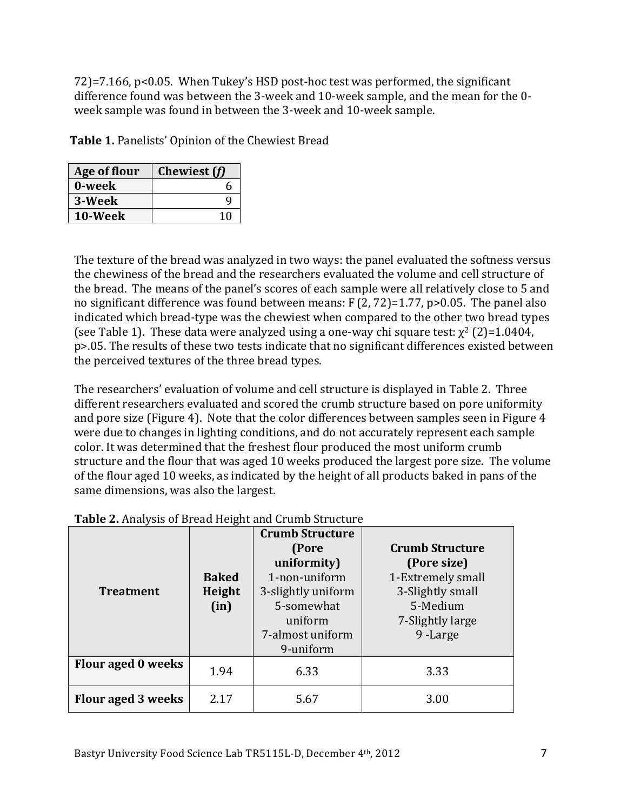$72$ ]=7.166, p<0.05. When Tukey's HSD post-hoc test was performed, the significant difference found was between the 3-week and 10-week sample, and the mean for the 0week sample was found in between the 3-week and 10-week sample.

Table 1. Panelists' Opinion of the Chewiest Bread

| <b>Age of flour</b> | Chewiest (f) |
|---------------------|--------------|
| 0-week              | r            |
| 3-Week              |              |
| 10-Week             | 10           |

The texture of the bread was analyzed in two ways: the panel evaluated the softness versus the chewiness of the bread and the researchers evaluated the volume and cell structure of the bread. The means of the panel's scores of each sample were all relatively close to 5 and no significant difference was found between means:  $F(2, 72)=1.77$ ,  $p>0.05$ . The panel also indicated which bread-type was the chewiest when compared to the other two bread types (see Table 1). These data were analyzed using a one-way chi square test:  $\chi^2$  (2)=1.0404, p>.05. The results of these two tests indicate that no significant differences existed between the perceived textures of the three bread types.

The researchers' evaluation of volume and cell structure is displayed in Table 2. Three'' different researchers evaluated and scored the crumb structure based on pore uniformity and pore size (Figure 4). Note that the color differences between samples seen in Figure 4 were due to changes in lighting conditions, and do not accurately represent each sample color. It was determined that the freshest flour produced the most uniform crumb structure and the flour that was aged 10 weeks produced the largest pore size. The volume of the flour aged 10 weeks, as indicated by the height of all products baked in pans of the same dimensions, was also the largest.

| <b>Treatment</b>   | <b>Baked</b><br>Height<br>(in) | <b>Crumb Structure</b><br>(Pore<br>uniformity)<br>1-non-uniform<br>3-slightly uniform<br>5-somewhat<br>uniform<br>7-almost uniform<br>9-uniform | <b>Crumb Structure</b><br>(Pore size)<br>1-Extremely small<br>3-Slightly small<br>5-Medium<br>7-Slightly large<br>9-Large |
|--------------------|--------------------------------|-------------------------------------------------------------------------------------------------------------------------------------------------|---------------------------------------------------------------------------------------------------------------------------|
| Flour aged 0 weeks | 1.94                           | 6.33                                                                                                                                            | 3.33                                                                                                                      |
| Flour aged 3 weeks | 2.17                           | 5.67                                                                                                                                            | 3.00                                                                                                                      |

|  | Table 2. Analysis of Bread Height and Crumb Structure |
|--|-------------------------------------------------------|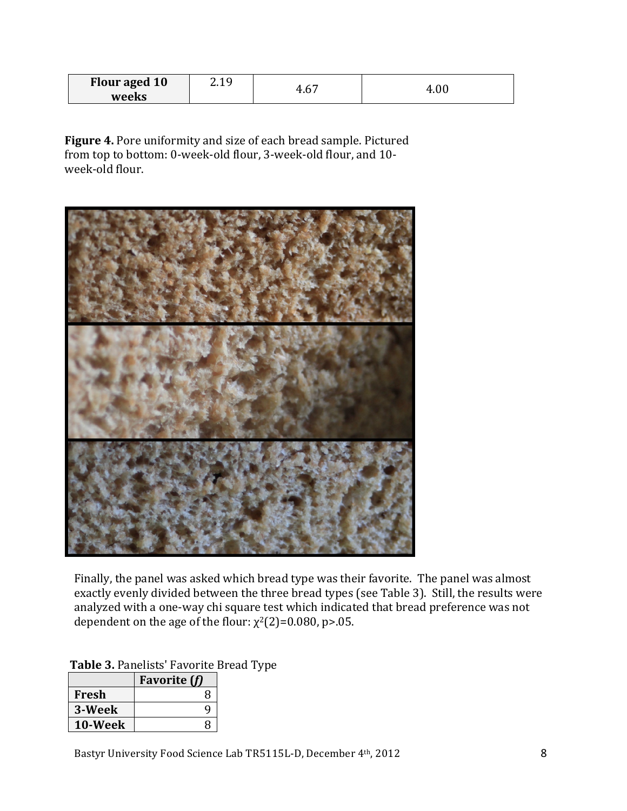| <b>Flour aged 10</b> | 1 Q<br>. |       | л.   |
|----------------------|----------|-------|------|
| weeks                |          | τ. υ. | T.VU |

Figure 4. Pore uniformity and size of each bread sample. Pictured from top to bottom: 0-week-old flour, 3-week-old flour, and 10week-old flour.



Finally, the panel was asked which bread type was their favorite. The panel was almost exactly evenly divided between the three bread types (see Table 3). Still, the results were analyzed with a one-way chi square test which indicated that bread preference was not dependent on the age of the flour:  $\chi^2(2)=0.080$ , p>.05.

|         | <b>Favorite</b> (f) |
|---------|---------------------|
| Fresh   | 8                   |
| 3-Week  | Q                   |
| 10-Week | Я                   |

Table 3. Panelists' Favorite Bread Type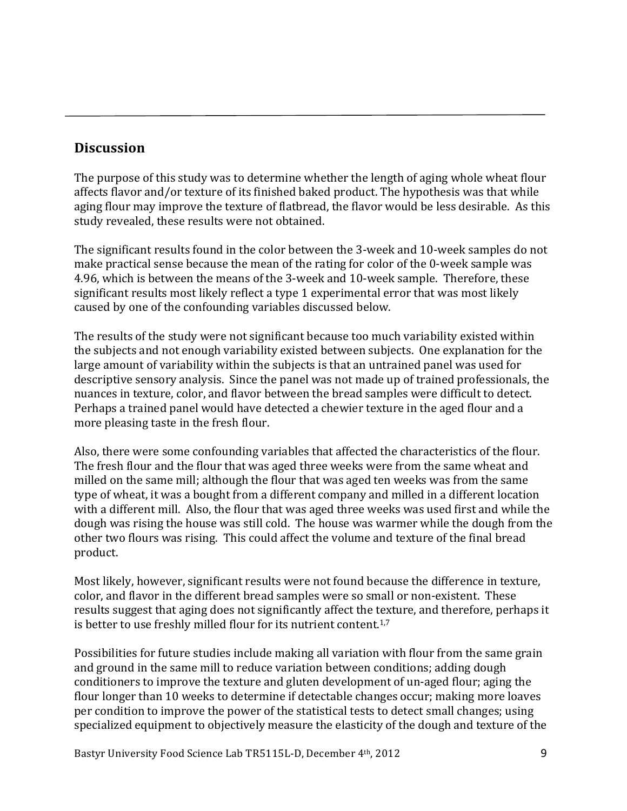## **Discussion**

The purpose of this study was to determine whether the length of aging whole wheat flour affects flavor and/or texture of its finished baked product. The hypothesis was that while aging flour'may improve the texture of flatbread, the flavor would be less desirable. As this study revealed, these results were not obtained.

The significant results found in the color between the 3-week and 10-week samples do not make practical sense because the mean of the rating for color of the 0-week sample was 4.96, which is between the means of the 3-week and 10-week sample. Therefore, these significant results most likely reflect a type 1 experimental error that was most likely caused by one of the confounding variables discussed below.

The results of the study were not significant because too much variability existed within the subjects and not enough variability existed between subjects. One explanation for the large amount of variability within the subjects is that an untrained panel was used for descriptive sensory analysis. Since the panel was not made up of trained professionals, the nuances in texture, color, and flavor between the bread samples were difficult to detect. Perhaps a trained panel would have detected a chewier texture in the aged flour and a more pleasing taste in the fresh flour.

Also, there were some confounding variables that affected the characteristics of the flour. The fresh flour and the flour that was aged three weeks were from the same wheat and milled on the same mill; although the flour that was aged ten weeks was from the same type of wheat, it was a bought from a different company and milled in a different location with a different mill. Also, the flour that was aged three weeks was used first and while the dough was rising the house was still cold. The house was warmer while the dough from the other two flours was rising. This could affect the volume and texture of the final bread product.

Most likely, however, significant results were not found because the difference in texture. color, and flavor in the different bread samples were so small or non-existent. These results'suggest'that'aging does not significantly affect the texture, and therefore, perhaps it is better to use freshly milled flour for its nutrient content.<sup>1,7</sup>

Possibilities for future studies include making all variation with flour from the same grain and ground in the same mill to reduce variation between conditions; adding dough conditioners to improve the texture and gluten development of un-aged flour; aging the flour'longer than 10' weeks to determine if detectable changes occur; making more loaves' per condition to improve the power of the statistical tests to detect small changes; using specialized equipment to objectively measure the elasticity of the dough and texture of the

Bastyr University Food Science Lab TR5115L-D, December 4th, 2012 '''''''''' '''''